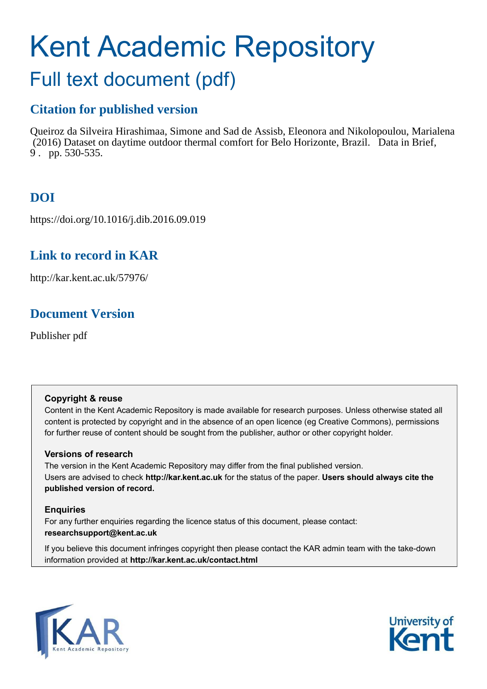# <span id="page-0-0"></span>Kent Academic Repository Full text document (pdf)

# **Citation for published version**

Queiroz da Silveira Hirashimaa, Simone and Sad de Assisb, Eleonora and Nikolopoulou, Marialena (2016) Dataset on daytime outdoor thermal comfort for Belo Horizonte, Brazil. Data in Brief, 9 . pp. 530-535.

# **DOI**

https://doi.org/10.1016/j.dib.2016.09.019

# **Link to record in KAR**

http://kar.kent.ac.uk/57976/

# **Document Version**

Publisher pdf

## **Copyright & reuse**

Content in the Kent Academic Repository is made available for research purposes. Unless otherwise stated all content is protected by copyright and in the absence of an open licence (eg Creative Commons), permissions for further reuse of content should be sought from the publisher, author or other copyright holder.

## **Versions of research**

The version in the Kent Academic Repository may differ from the final published version. Users are advised to check **http://kar.kent.ac.uk** for the status of the paper. **Users should always cite the published version of record.**

## **Enquiries**

For any further enquiries regarding the licence status of this document, please contact: **researchsupport@kent.ac.uk**

If you believe this document infringes copyright then please contact the KAR admin team with the take-down information provided at **http://kar.kent.ac.uk/contact.html**



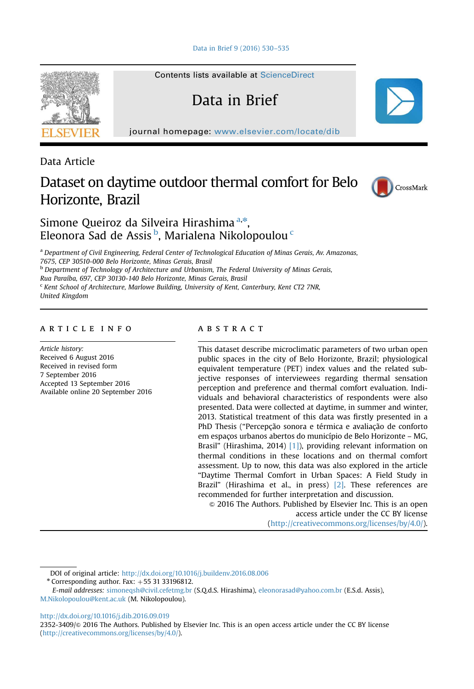

Contents lists available at [ScienceDirect](www.sciencedirect.com/science/journal/23523409)

## Data in Brief

journal homepage: <www.elsevier.com/locate/dib>

Data Article

## Dataset on daytime outdoor thermal comfort for Belo Horizonte, Brazil



### Simone Queiroz da Silveira Hirashima <sup>[a,](#page-0-0)\*</sup>, Eleonora Sad de Assis <sup>[b](#page-0-0)</sup>, Marialena Nikolopoulou <sup>[c](#page-0-0)</sup>

<sup>a</sup> Department of Civil Engineering, Federal Center of Technological Education of Minas Gerais, Av. Amazonas, 7675, CEP 30510-000 Belo Horizonte, Minas Gerais, Brasil

**b Department of Technology of Architecture and Urbanism, The Federal University of Minas Gerais,** 

Rua Paraíba, 697, CEP 30130-140 Belo Horizonte, Minas Gerais, Brasil

<sup>c</sup> Kent School of Architecture, Marlowe Building, University of Kent, Canterbury, Kent CT2 7NR, United Kingdom

#### article info

Article history: Received 6 August 2016 Received in revised form 7 September 2016 Accepted 13 September 2016 Available online 20 September 2016

#### abstract

This dataset describe microclimatic parameters of two urban open public spaces in the city of Belo Horizonte, Brazil; physiological equivalent temperature (PET) index values and the related subjective responses of interviewees regarding thermal sensation perception and preference and thermal comfort evaluation. Individuals and behavioral characteristics of respondents were also presented. Data were collected at daytime, in summer and winter, 2013. Statistical treatment of this data was firstly presented in a PhD Thesis ("Percepção sonora e térmica e avaliação de conforto em espaços urbanos abertos do município de Belo Horizonte – MG, Brasil" (Hirashima, 2014) [\[1\]](#page-4-0)), providing relevant information on thermal conditions in these locations and on thermal comfort assessment. Up to now, this data was also explored in the article "Daytime Thermal Comfort in Urban Spaces: A Field Study in Brazil" (Hirashima et al., in press) [\[2\].](#page-4-0) These references are recommended for further interpretation and discussion.

 $\odot$  2016 The Authors. Published by Elsevier Inc. This is an open access article under the CC BY license (http://creativecommons.org/licenses/by/4.0/).

DOI of original article: http://dx.doi.org/10.1016/j.buildenv.2016.08.006

 $*$  Corresponding author. Fax:  $+55$  31 33196812.

E-mail addresses: [simoneqsh@civil.cefetmg.br](mailto:simoneqsh@civil.cefetmg.br) (S.Q.d.S. Hirashima), [eleonorasad@yahoo.com.br](mailto:eleonorasad@yahoo.com.br) (E.S.d. Assis), [M.Nikolopoulou@kent.ac.uk](mailto:M.Nikolopoulou@kent.ac.uk) (M. Nikolopoulou).

<http://dx.doi.org/10.1016/j.dib.2016.09.019>

<sup>2352-3409/</sup> $\circ$  2016 The Authors. Published by Elsevier Inc. This is an open access article under the CC BY license (http://creativecommons.org/licenses/by/4.0/).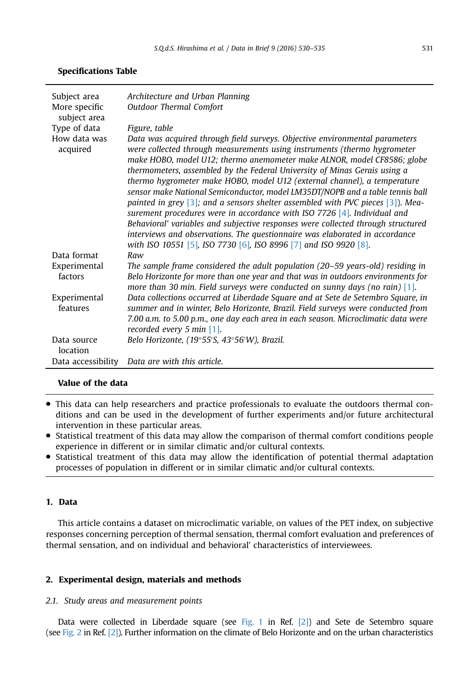#### <span id="page-2-0"></span>Specifications Table

| Subject area<br>More specific<br>subject area | Architecture and Urban Planning<br><b>Outdoor Thermal Comfort</b>                                                                                                                                                                                                                                                                                                                                                                                                                                                                                                                                                                                                                                                                                                                                                                                                                                                   |
|-----------------------------------------------|---------------------------------------------------------------------------------------------------------------------------------------------------------------------------------------------------------------------------------------------------------------------------------------------------------------------------------------------------------------------------------------------------------------------------------------------------------------------------------------------------------------------------------------------------------------------------------------------------------------------------------------------------------------------------------------------------------------------------------------------------------------------------------------------------------------------------------------------------------------------------------------------------------------------|
| Type of data                                  | Figure, table                                                                                                                                                                                                                                                                                                                                                                                                                                                                                                                                                                                                                                                                                                                                                                                                                                                                                                       |
| How data was<br>acquired                      | Data was acquired through field surveys. Objective environmental parameters<br>were collected through measurements using instruments (thermo hygrometer<br>make HOBO, model U12; thermo anemometer make ALNOR, model CF8586; globe<br>thermometers, assembled by the Federal University of Minas Gerais using a<br>thermo hygrometer make HOBO, model U12 (external channel), a temperature<br>sensor make National Semiconductor, model LM35DT/NOPB and a table tennis ball<br>painted in grey $\lceil 3 \rceil$ ; and a sensors shelter assembled with PVC pieces $\lceil 3 \rceil$ ). Mea-<br>surement procedures were in accordance with ISO 7726 $[4]$ . Individual and<br>Behavioral' variables and subjective responses were collected through structured<br>interviews and observations. The questionnaire was elaborated in accordance<br>with ISO 10551 [5], ISO 7730 [6], ISO 8996 [7] and ISO 9920 [8]. |
| Data format                                   | Raw                                                                                                                                                                                                                                                                                                                                                                                                                                                                                                                                                                                                                                                                                                                                                                                                                                                                                                                 |
| Experimental<br>factors                       | The sample frame considered the adult population (20–59 years-old) residing in<br>Belo Horizonte for more than one year and that was in outdoors environments for<br>more than 30 min. Field surveys were conducted on sunny days (no rain) $[1]$ .                                                                                                                                                                                                                                                                                                                                                                                                                                                                                                                                                                                                                                                                 |
| Experimental<br>features                      | Data collections occurred at Liberdade Square and at Sete de Setembro Square, in<br>summer and in winter, Belo Horizonte, Brazil. Field surveys were conducted from<br>7.00 a.m. to 5.00 p.m., one day each area in each season. Microclimatic data were<br>recorded every 5 min $[1]$ .                                                                                                                                                                                                                                                                                                                                                                                                                                                                                                                                                                                                                            |
| Data source<br>location                       | Belo Horizonte, (19°55'S, 43°56'W), Brazil.                                                                                                                                                                                                                                                                                                                                                                                                                                                                                                                                                                                                                                                                                                                                                                                                                                                                         |
|                                               | Data accessibility Data are with this article.                                                                                                                                                                                                                                                                                                                                                                                                                                                                                                                                                                                                                                                                                                                                                                                                                                                                      |

#### Value of the data

- This data can help researchers and practice professionals to evaluate the outdoors thermal conditions and can be used in the development of further experiments and/or future architectural intervention in these particular areas.
- Statistical treatment of this data may allow the comparison of thermal comfort conditions people experience in different or in similar climatic and/or cultural contexts.
- Statistical treatment of this data may allow the identification of potential thermal adaptation processes of population in different or in similar climatic and/or cultural contexts.

#### 1. Data

This article contains a dataset on microclimatic variable, on values of the PET index, on subjective responses concerning perception of thermal sensation, thermal comfort evaluation and preferences of thermal sensation, and on individual and behavioral' characteristics of interviewees.

#### 2. Experimental design, materials and methods

#### 2.1. Study areas and measurement points

Data were collected in Liberdade square (see Fig. 1 in Ref. [\[2\]](#page-4-0)) and Sete de Setembro square (see Fig. 2 in Ref. [\[2\]\)](#page-4-0). Further information on the climate of Belo Horizonte and on the urban characteristics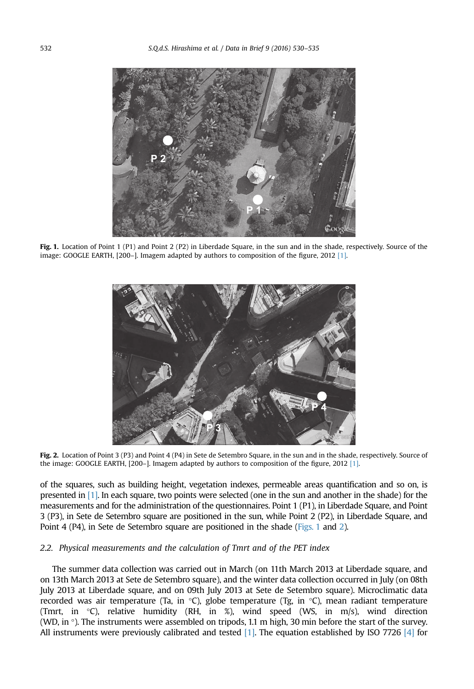<span id="page-3-0"></span>

Fig. 1. Location of Point 1 (P1) and Point 2 (P2) in Liberdade Square, in the sun and in the shade, respectively. Source of the image: GOOGLE EARTH, [200–]. Imagem adapted by authors to composition of the figure, 2012 [\[1\].](#page-4-0)



Fig. 2. Location of Point 3 (P3) and Point 4 (P4) in Sete de Setembro Square, in the sun and in the shade, respectively. Source of the image: GOOGLE EARTH, [200–]. Imagem adapted by authors to composition of the figure, 2012 [\[1\]](#page-4-0).

of the squares, such as building height, vegetation indexes, permeable areas quantification and so on, is presented in [\[1\]](#page-4-0). In each square, two points were selected (one in the sun and another in the shade) for the measurements and for the administration of the questionnaires. Point 1 (P1), in Liberdade Square, and Point 3 (P3), in Sete de Setembro square are positioned in the sun, while Point 2 (P2), in Liberdade Square, and Point 4 (P4), in Sete de Setembro square are positioned in the shade [\(Figs. 1](#page-2-0) and [2\)](#page-2-0).

#### 2.2. Physical measurements and the calculation of Tmrt and of the PET index

The summer data collection was carried out in March (on 11th March 2013 at Liberdade square, and on 13th March 2013 at Sete de Setembro square), and the winter data collection occurred in July (on 08th July 2013 at Liberdade square, and on 09th July 2013 at Sete de Setembro square). Microclimatic data recorded was air temperature (Ta, in °C), globe temperature (Tg, in °C), mean radiant temperature (Tmrt, in °C), relative humidity (RH, in %), wind speed (WS, in m/s), wind direction (WD, in °). The instruments were assembled on tripods, 1.1 m high, 30 min before the start of the survey. All instruments were previously calibrated and tested  $[1]$ . The equation established by ISO 7726  $[4]$  for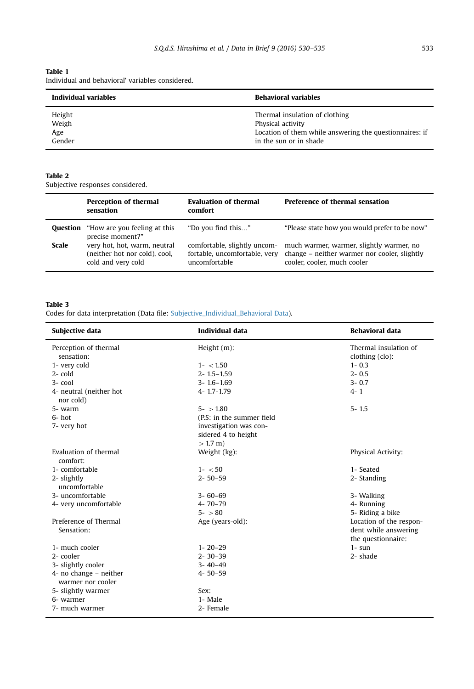<span id="page-4-0"></span>Table 1 Individual and behavioral' variables considered.

| Individual variables             | <b>Behavioral variables</b>                                                                                                              |  |
|----------------------------------|------------------------------------------------------------------------------------------------------------------------------------------|--|
| Height<br>Weigh<br>Age<br>Gender | Thermal insulation of clothing<br>Physical activity<br>Location of them while answering the questionnaires: if<br>in the sun or in shade |  |

#### Table 2

Subjective responses considered.

|          | Perception of thermal<br>sensation                                                  | <b>Evaluation of thermal</b><br>comfort        | <b>Preference of thermal sensation</b>                                                                                                               |
|----------|-------------------------------------------------------------------------------------|------------------------------------------------|------------------------------------------------------------------------------------------------------------------------------------------------------|
| Ouestion | "How are you feeling at this<br>precise moment?"                                    | "Do you find this"                             | "Please state how you would prefer to be now"                                                                                                        |
| Scale    | very hot, hot, warm, neutral<br>(neither hot nor cold), cool,<br>cold and very cold | fortable, uncomfortable, very<br>uncomfortable | comfortable, slightly uncom- much warmer, warmer, slightly warmer, no<br>change – neither warmer nor cooler, slightly<br>cooler, cooler, much cooler |

#### Table 3

Codes for data interpretation (Data file: Subjective\_Individual\_Behavioral Data).

| Subjective data                      | <b>Individual data</b>    | <b>Behavioral data</b>  |
|--------------------------------------|---------------------------|-------------------------|
| Perception of thermal                | Height $(m)$ :            | Thermal insulation of   |
| sensation:                           |                           | clothing (clo):         |
| 1- very cold                         | $1 - < 1.50$              | $1 - 0.3$               |
| $2-$ cold                            | $2 - 1.5 - 1.59$          | $2 - 0.5$               |
| $3 - \text{cool}$                    | $3 - 1.6 - 1.69$          | $3 - 0.7$               |
| 4- neutral (neither hot<br>nor cold) | $4 - 1.7 - 1.79$          | $4 - 1$                 |
| 5- warm                              | $5 - 1.80$                | $5 - 1.5$               |
| $6-$ hot                             | (P.S: in the summer field |                         |
| 7- very hot                          | investigation was con-    |                         |
|                                      | sidered 4 to height       |                         |
|                                      | $> 1.7 m$ )               |                         |
| Evaluation of thermal<br>comfort:    | Weight (kg):              | Physical Activity:      |
| 1- comfortable                       | $1 - < 50$                | 1- Seated               |
| 2- slightly<br>uncomfortable         | $2 - 50 - 59$             | 2- Standing             |
| 3- uncomfortable                     | $3 - 60 - 69$             | 3- Walking              |
| 4- very uncomfortable                | $4 - 70 - 79$             | 4- Running              |
|                                      | $5 - 80$                  | 5- Riding a bike        |
| Preference of Thermal                | Age (years-old):          | Location of the respon- |
| Sensation:                           |                           | dent while answering    |
|                                      |                           | the questionnaire:      |
| 1- much cooler                       | $1 - 20 - 29$             | $1 - \sin$              |
| 2- cooler                            | $2 - 30 - 39$             | 2- shade                |
| 3- slightly cooler                   | $3 - 40 - 49$             |                         |
| 4- no change - neither               | $4 - 50 - 59$             |                         |
| warmer nor cooler                    |                           |                         |
| 5- slightly warmer                   | Sex:                      |                         |
| 6- warmer                            | 1- Male                   |                         |
| 7- much warmer                       | 2- Female                 |                         |
|                                      |                           |                         |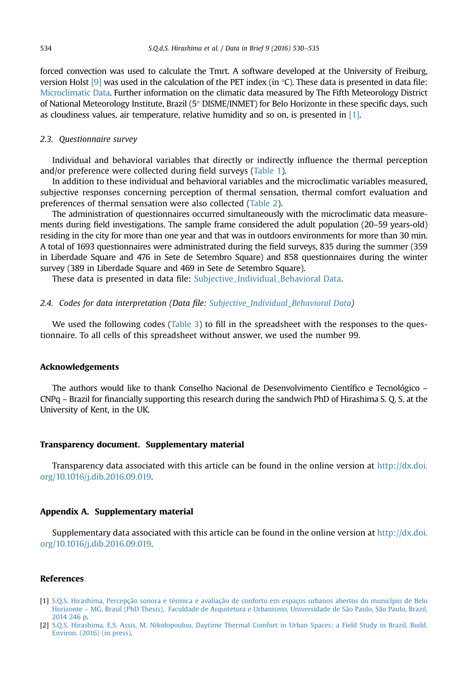<span id="page-5-0"></span>forced convection was used to calculate the Tmrt. A software developed at the University of Freiburg, version Holst [9] was used in the calculation of the PET index (in °C). These data is presented in data file: [Microclimatic Data](#page-4-0). Further information on the climatic data measured by The Fifth Meteorology District of National Meteorology Institute, Brazil (5° DISME/INMET) for Belo Horizonte in these specific days, such as cloudiness values, air temperature, relative humidity and so on, is presented in  $[1]$ .

#### 2.3. Questionnaire survey

Individual and behavioral variables that directly or indirectly influence the thermal perception and/or preference were collected during field surveys ([Table 1](#page-3-0)).

In addition to these individual and behavioral variables and the microclimatic variables measured, subjective responses concerning perception of thermal sensation, thermal comfort evaluation and preferences of thermal sensation were also collected ([Table 2](#page-3-0)).

The administration of questionnaires occurred simultaneously with the microclimatic data measurements during field investigations. The sample frame considered the adult population (20–59 years-old) residing in the city for more than one year and that was in outdoors environments for more than 30 min. A total of 1693 questionnaires were administrated during the field surveys, 835 during the summer (359 in Liberdade Square and 476 in Sete de Setembro Square) and 858 questionnaires during the winter survey (389 in Liberdade Square and 469 in Sete de Setembro Square).

These data is presented in data file: [Subjective\\_Individual\\_Behavioral Data.](#page-4-0)

#### 2.4. Codes for data interpretation (Data file: [Subjective\\_Individual\\_Behavioral Data\)](#page-4-0)

We used the following codes [\(Table 3](#page-3-0)) to fill in the spreadsheet with the responses to the questionnaire. To all cells of this spreadsheet without answer, we used the number 99.

#### Acknowledgements

The authors would like to thank Conselho Nacional de Desenvolvimento Científico e Tecnológico – CNPq – Brazil for financially supporting this research during the sandwich PhD of Hirashima S. Q. S. at the University of Kent, in the UK.

#### Transparency document. Supplementary material

Transparency data associated with this article can be found in the online version at [http://dx.doi.](http://dx.doi.org/10.1016/j.dib.2016.09.019) [org/10.1016/j.dib.2016.09.019](http://dx.doi.org/10.1016/j.dib.2016.09.019).

#### Appendix A. Supplementary material

Supplementary data associated with this article can be found in the online version at [http://dx.doi.](http://dx.doi.org/10.1016/j.dib.2016.09.019) [org/10.1016/j.dib.2016.09.019](http://dx.doi.org/10.1016/j.dib.2016.09.019).

#### References

[2] [S.Q.S. Hirashima, E.S. Assis, M. Nikolopoulou, Daytime Thermal Comfort in Urban Spaces: a Field Study in Brazil, Build.](http://refhub.elsevier.com/S2352-3409(16)30591-1/sbref2) [Environ. \(2016\) \(in press\).](http://refhub.elsevier.com/S2352-3409(16)30591-1/sbref2)

<sup>[1]</sup> [S.Q.S. Hirashima, Percepção sonora e térmica e avaliação de conforto em espaços urbanos abertos do município de Belo](http://refhub.elsevier.com/S2352-3409(16)30591-1/sbref1) Horizonte – [MG, Brasil \(PhD Thesis\), Faculdade de Arquitetura e Urbanismo, Universidade de São Paulo, São Paulo, Brazil,](http://refhub.elsevier.com/S2352-3409(16)30591-1/sbref1) [2014 246 p.](http://refhub.elsevier.com/S2352-3409(16)30591-1/sbref1)